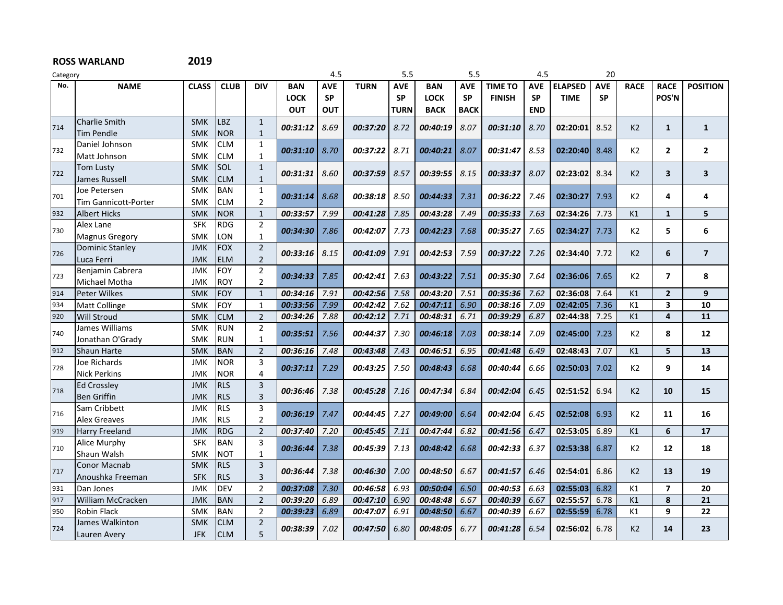| Category |                             |              |             |                         | 5.5         |            | 5.5         |             | 4.5         |             |                |            |                |            |                |                |                         |
|----------|-----------------------------|--------------|-------------|-------------------------|-------------|------------|-------------|-------------|-------------|-------------|----------------|------------|----------------|------------|----------------|----------------|-------------------------|
| No.      | <b>NAME</b>                 | <b>CLASS</b> | <b>CLUB</b> | <b>DIV</b>              | <b>BAN</b>  | <b>AVE</b> | <b>TURN</b> | <b>AVE</b>  | <b>BAN</b>  | <b>AVE</b>  | <b>TIME TO</b> | <b>AVE</b> | <b>ELAPSED</b> | <b>AVE</b> | <b>RACE</b>    | <b>RACE</b>    | <b>POSITION</b>         |
|          |                             |              |             |                         | <b>LOCK</b> | <b>SP</b>  |             | <b>SP</b>   | <b>LOCK</b> | <b>SP</b>   | <b>FINISH</b>  | <b>SP</b>  | <b>TIME</b>    | <b>SP</b>  |                | POS'N          |                         |
|          |                             |              |             |                         | <b>OUT</b>  | <b>OUT</b> |             | <b>TURN</b> | <b>BACK</b> | <b>BACK</b> |                | <b>END</b> |                |            |                |                |                         |
|          | <b>Charlie Smith</b>        | <b>SMK</b>   | LBZ         | $\mathbf{1}$            |             |            |             |             |             |             |                |            |                |            |                |                |                         |
| 714      | <b>Tim Pendle</b>           | <b>SMK</b>   | <b>NOR</b>  | $\mathbf{1}$            | 00:31:12    | 8.69       | 00:37:20    | 8.72        | 00:40:19    | 8.07        | 00:31:10       | 8.70       | 02:20:01       | 8.52       | K <sub>2</sub> | $\mathbf{1}$   | $\mathbf{1}$            |
| 732      | Daniel Johnson              | <b>SMK</b>   | <b>CLM</b>  | $\mathbf{1}$            | 00:31:10    | 8.70       | 00:37:22    | 8.71        | 00:40:21    | 8.07        | 00:31:47       | 8.53       | 02:20:40       | 8.48       | K2             | $\mathbf{2}$   | $\overline{2}$          |
|          | Matt Johnson                | <b>SMK</b>   | <b>CLM</b>  | $\mathbf{1}$            |             |            |             |             |             |             |                |            |                |            |                |                |                         |
|          | <b>Tom Lusty</b>            | <b>SMK</b>   | SOL         | $\mathbf{1}$            | 00:31:31    | 8.60       | 00:37:59    | 8.57        | 00:39:55    |             | 00:33:37       | 8.07       | 02:23:02       | 8.34       | K <sub>2</sub> | 3              | $\overline{\mathbf{3}}$ |
| 722      | James Russell               | <b>SMK</b>   | <b>CLM</b>  | $\mathbf{1}$            |             |            |             |             |             | 8.15        |                |            |                |            |                |                |                         |
| 701      | Joe Petersen                | <b>SMK</b>   | <b>BAN</b>  | $\mathbf{1}$            | 00:31:14    | 8.68       | 00:38:18    | 8.50        | 00:44:33    | 7.31        | 00:36:22       | 7.46       | 02:30:27       | 7.93       | K <sub>2</sub> | 4              | 4                       |
|          | <b>Tim Gannicott-Porter</b> | <b>SMK</b>   | <b>CLM</b>  | $\overline{2}$          |             |            |             |             |             |             |                |            |                |            |                |                |                         |
| 932      | <b>Albert Hicks</b>         | <b>SMK</b>   | <b>NOR</b>  | $1\,$                   | 00:33:57    | 7.99       | 00:41:28    | 7.85        | 00:43:28    | 7.49        | 00:35:33       | 7.63       | 02:34:26       | 7.73       | K1             | $\mathbf{1}$   | 5                       |
| 730      | Alex Lane                   | <b>SFK</b>   | <b>RDG</b>  | $\overline{2}$          | 00:34:30    | 7.86       | 00:42:07    | 7.73        | 00:42:23    | 7.68        | 00:35:27       | 7.65       | 02:34:27       | 7.73       | K <sub>2</sub> | 5              | 6                       |
|          | Magnus Gregory              | <b>SMK</b>   | LON         | $\mathbf{1}$            |             |            |             |             |             |             |                |            |                |            |                |                |                         |
| 726      | <b>Dominic Stanley</b>      | <b>JMK</b>   | <b>FOX</b>  | $\overline{2}$          | 00:33:16    | 8.15       | 00:41:09    | 7.91        | 00:42:53    | 7.59        | 00:37:22       | 7.26       | 02:34:40       | 7.72       | K <sub>2</sub> | 6              | $\overline{7}$          |
|          | Luca Ferri                  | <b>JMK</b>   | <b>ELM</b>  | $\overline{2}$          |             |            |             |             |             |             |                |            |                |            |                |                |                         |
| 723      | Benjamin Cabrera            | <b>JMK</b>   | <b>FOY</b>  | $\overline{2}$          | 00:34:33    | 7.85       | 00:42:41    | 7.63        | 00:43:22    | 7.51        | 00:35:30       | 7.64       | 02:36:06       | 7.65       | K <sub>2</sub> | $\overline{ }$ | 8                       |
|          | Michael Motha               | <b>JMK</b>   | <b>ROY</b>  | $\overline{2}$          |             |            |             |             |             |             |                |            |                |            |                |                |                         |
| 914      | <b>Peter Wilkes</b>         | <b>SMK</b>   | <b>FOY</b>  | $\mathbf{1}$            | 00:34:16    | 7.91       | 00:42:56    | 7.58        | 00:43:20    | 7.51        | 00:35:36       | 7.62       | 02:36:08       | 7.64       | K1             | $\overline{2}$ | 9                       |
| 934      | <b>Matt Collinge</b>        | <b>SMK</b>   | <b>FOY</b>  | $\mathbf{1}$            | 00:33:56    | 7.99       | 00:42:42    | 7.62        | 00:47:11    | 6.90        | 00:38:16       | 7.09       | 02:42:05       | 7.36       | K1             | 3              | 10                      |
| 920      | <b>Will Stroud</b>          | <b>SMK</b>   | <b>CLM</b>  | $\overline{2}$          | 00:34:26    | 7.88       | 00:42:12    | 7.71        | 00:48:31    | 6.71        | 00:39:29       | 6.87       | 02:44:38       | 7.25       | K1             | 4              | 11                      |
| 740      | James Williams              | <b>SMK</b>   | <b>RUN</b>  | $\overline{2}$          | 00:35:51    | 7.56       | 00:44:37    | 7.30        | 00:46:18    | 7.03        | 00:38:14       | 7.09       | 02:45:00       | 7.23       | K <sub>2</sub> | 8              | 12                      |
|          | Jonathan O'Grady            | <b>SMK</b>   | <b>RUN</b>  | $\mathbf{1}$            |             |            |             |             |             |             |                |            |                |            |                |                |                         |
| 912      | <b>Shaun Harte</b>          | <b>SMK</b>   | <b>BAN</b>  | $\overline{2}$          | 00:36:16    | 7.48       | 00:43:48    | 7.43        | 00:46:51    | 6.95        | 00:41:48       | 6.49       | 02:48:43       | 7.07       | K1             | 5              | 13                      |
| 728      | Joe Richards                | <b>JMK</b>   | <b>NOR</b>  | 3                       | 00:37:11    | 7.29       | 00:43:25    | 7.50        | 00:48:43    | 6.68        | 00:40:44       | 6.66       | 02:50:03       | 7.02       | K <sub>2</sub> | 9              | 14                      |
|          | <b>Nick Perkins</b>         | <b>JMK</b>   | <b>NOR</b>  | 4                       |             |            |             |             |             |             |                |            |                |            |                |                |                         |
| 718      | <b>Ed Crossley</b>          | <b>JMK</b>   | <b>RLS</b>  | $\overline{3}$          | 00:36:46    | 7.38       | 00:45:28    | 7.16        | 00:47:34    | 6.84        | 00:42:04       | 6.45       | 02:51:52       | 6.94       | K <sub>2</sub> | 10             | 15                      |
|          | <b>Ben Griffin</b>          | <b>JMK</b>   | <b>RLS</b>  | $\overline{3}$          |             |            |             |             |             |             |                |            |                |            |                |                |                         |
| 716      | Sam Cribbett                | <b>JMK</b>   | <b>RLS</b>  | 3                       | 00:36:19    | 7.47       | 00:44:45    | 7.27        | 00:49:00    | 6.64        | 00:42:04       | 6.45       | 02:52:08       | 6.93       | K <sub>2</sub> | 11             | 16                      |
|          | <b>Alex Greaves</b>         | <b>JMK</b>   | <b>RLS</b>  | $\overline{2}$          |             |            |             |             |             |             |                |            |                |            |                |                |                         |
| 919      | <b>Harry Freeland</b>       | <b>JMK</b>   | <b>RDG</b>  | $\overline{2}$          | 00:37:40    | 7.20       | 00:45:45    | 7.11        | 00:47:44    | 6.82        | 00:41:56       | 6.47       | 02:53:05       | 6.89       | K1             | 6              | 17                      |
| 710      | Alice Murphy                | <b>SFK</b>   | <b>BAN</b>  | 3                       | 00:36:44    | 7.38       | 00:45:39    | 7.13        | 00:48:42    | 6.68        | 00:42:33       | 6.37       | 02:53:38       | 6.87       | K <sub>2</sub> | 12             | 18                      |
|          | Shaun Walsh                 | <b>SMK</b>   | <b>NOT</b>  | $\mathbf{1}$            |             |            |             |             |             |             |                |            |                |            |                |                |                         |
| 717      | Conor Macnab                | <b>SMK</b>   | <b>RLS</b>  | $\overline{\mathbf{3}}$ | 00:36:44    | 7.38       | 00:46:30    | 7.00        | 00:48:50    | 6.67        | 00:41:57       | 6.46       | 02:54:01       | 6.86       | K <sub>2</sub> | 13             | 19                      |
|          | Anoushka Freeman            | <b>SFK</b>   | <b>RLS</b>  | $\overline{3}$          |             |            |             |             |             |             |                |            |                |            |                |                |                         |
| 931      | Dan Jones                   | <b>JMK</b>   | <b>DEV</b>  | $\overline{2}$          | 00:37:08    | 7.30       | 00:46:58    | 6.93        | 00:50:04    | 6.50        | 00:40:53       | 6.63       | 02:55:03       | 6.82       | K1             | $\overline{ }$ | 20                      |
| 917      | <b>William McCracken</b>    | <b>JMK</b>   | <b>BAN</b>  | $\overline{2}$          | 00:39:20    | 6.89       | 00:47:10    | 6.90        | 00:48:48    | 6.67        | 00:40:39       | 6.67       | 02:55:57       | 6.78       | K1             | 8              | 21                      |
| 950      | <b>Robin Flack</b>          | <b>SMK</b>   | <b>BAN</b>  | 2                       | 00:39:23    | 6.89       | 00:47:07    | 6.91        | 00:48:50    | 6.67        | 00:40:39       | 6.67       | 02:55:59       | 6.78       | К1             | 9              | 22                      |
| 724      | James Walkinton             | <b>SMK</b>   | <b>CLM</b>  | $\overline{2}$          | 00:38:39    | 7.02       | 00:47:50    | 6.80        | 00:48:05    | 6.77        | 00:41:28       | 6.54       | 02:56:02       | 6.78       | K <sub>2</sub> | 14             | 23                      |
|          | Lauren Avery                | <b>JFK</b>   | <b>CLM</b>  | 5                       |             |            |             |             |             |             |                |            |                |            |                |                |                         |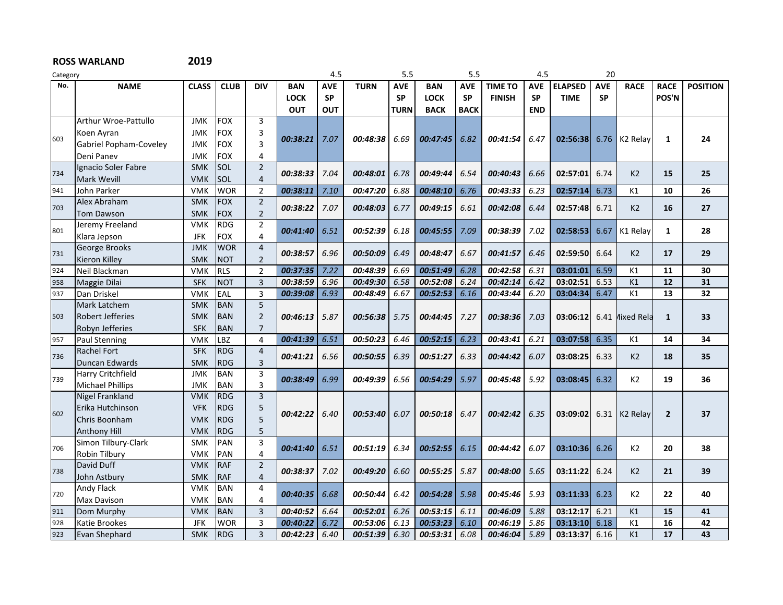| Category |                         |              |             |                |                        | 4.5        |             | 5.5         |             | 5.5         |                | 4.5        |                | 20         |                      |                                                                                                             |                 |
|----------|-------------------------|--------------|-------------|----------------|------------------------|------------|-------------|-------------|-------------|-------------|----------------|------------|----------------|------------|----------------------|-------------------------------------------------------------------------------------------------------------|-----------------|
| No.      | <b>NAME</b>             | <b>CLASS</b> | <b>CLUB</b> | <b>DIV</b>     | <b>BAN</b>             | <b>AVE</b> | <b>TURN</b> | <b>AVE</b>  | <b>BAN</b>  | <b>AVE</b>  | <b>TIME TO</b> | <b>AVE</b> | <b>ELAPSED</b> | <b>AVE</b> | <b>RACE</b>          | <b>RACE</b>                                                                                                 | <b>POSITION</b> |
|          |                         |              |             |                | <b>LOCK</b>            | <b>SP</b>  |             | <b>SP</b>   | <b>LOCK</b> | <b>SP</b>   | <b>FINISH</b>  | <b>SP</b>  | <b>TIME</b>    | <b>SP</b>  |                      | POS'N                                                                                                       |                 |
|          |                         |              |             |                | <b>OUT</b>             | <b>OUT</b> |             | <b>TURN</b> | <b>BACK</b> | <b>BACK</b> |                | <b>END</b> |                |            |                      |                                                                                                             |                 |
|          | Arthur Wroe-Pattullo    | <b>JMK</b>   | <b>FOX</b>  | 3              |                        |            |             |             |             |             |                |            |                |            |                      |                                                                                                             |                 |
|          | Koen Ayran              | <b>JMK</b>   | <b>FOX</b>  | 3              |                        |            |             |             |             |             |                |            |                |            |                      |                                                                                                             |                 |
| 603      | Gabriel Popham-Coveley  | <b>JMK</b>   | <b>FOX</b>  | $\overline{3}$ | 00:38:21               | 7.07       | 00:48:38    | 6.69        | 00:47:45    | 6.82        | 00:41:54       | 6.47       | 02:56:38       | 6.76       | K <sub>2</sub> Relay |                                                                                                             | 24              |
|          | Deni Panev              | <b>JMK</b>   | <b>FOX</b>  | 4              |                        |            |             |             |             |             |                |            |                |            |                      |                                                                                                             |                 |
|          | Ignacio Soler Fabre     | <b>SMK</b>   | SOL         | $\overline{2}$ | 00:38:33               | 7.04       | 00:48:01    |             | 00:49:44    | 6.54        | 00:40:43       | 6.66       | 02:57:01       | 6.74       | K <sub>2</sub>       |                                                                                                             | 25              |
| 734      | <b>Mark Wevill</b>      | <b>VMK</b>   | SOL         | $\overline{4}$ |                        |            |             | 6.78        |             |             |                |            |                |            |                      |                                                                                                             |                 |
| 941      | John Parker             | <b>VMK</b>   | <b>WOR</b>  | $\overline{2}$ | 00:38:11               | 7.10       | 00:47:20    | 6.88        | 00:48:10    | 6.76        | 00:43:33       | 6.23       | 02:57:14       | 6.73       | K1                   | 10                                                                                                          | 26              |
| 703      | Alex Abraham            | <b>SMK</b>   | <b>FOX</b>  | $\overline{2}$ | 00:38:22               | 7.07       | 00:48:03    | 6.77        | 00:49:15    | 6.61        | 00:42:08       | 6.44       | 02:57:48       | 6.71       | K <sub>2</sub>       |                                                                                                             | 27              |
|          | <b>Tom Dawson</b>       | <b>SMK</b>   | <b>FOX</b>  | $\overline{2}$ |                        |            |             |             |             |             |                |            |                |            |                      |                                                                                                             |                 |
| 801      | Jeremy Freeland         | <b>VMK</b>   | <b>RDG</b>  | $\overline{2}$ | 00:41:40               | 6.51       | 00:52:39    | 6.18        | 00:45:55    | 7.09        | 00:38:39       | 7.02       | 02:58:53       | 6.67       | K1 Relay             |                                                                                                             | 28              |
|          | Klara Jepson            | <b>JFK</b>   | <b>FOX</b>  | 4              |                        |            |             |             |             |             |                |            |                |            |                      |                                                                                                             |                 |
| 731      | George Brooks           | <b>JMK</b>   | <b>WOR</b>  | $\overline{4}$ | 00:38:57               | 6.96       | 00:50:09    | 6.49        | 00:48:47    | 6.67        | 00:41:57       | 6.46       | 02:59:50       | 6.64       | K <sub>2</sub>       |                                                                                                             | 29              |
|          | Kieron Killey           | <b>SMK</b>   | <b>NOT</b>  | $\overline{2}$ |                        |            |             |             |             |             |                |            |                |            |                      |                                                                                                             |                 |
| 924      | Neil Blackman           | <b>VMK</b>   | <b>RLS</b>  | $\overline{2}$ | 00:37:35               | 7.22       | 00:48:39    | 6.69        | 00:51:49    | 6.28        | 00:42:58       | 6.31       | 03:01:01       | 6.59       | K1                   | 11                                                                                                          | 30              |
| 958      | Maggie Dilai            | <b>SFK</b>   | <b>NOT</b>  | $\overline{3}$ | 00:38:59               | 6.96       | 00:49:30    | 6.58        | 00:52:08    | 6.24        | 00:42:14       | 6.42       | 03:02:51       | 6.53       | K1                   | 12                                                                                                          | 31              |
| 937      | Dan Driskel             | <b>VMK</b>   | EAL         | $\overline{3}$ | 00:39:08               | 6.93       | 00:48:49    | 6.67        | 00:52:53    | 6.16        | 00:43:44       | 6.20       | 03:04:34       | 6.47       | K1                   | 13                                                                                                          | 32              |
|          | Mark Latchem            | <b>SMK</b>   | <b>BAN</b>  | 5              |                        |            |             |             |             |             |                |            |                |            |                      |                                                                                                             |                 |
| 503      | <b>Robert Jefferies</b> | <b>SMK</b>   | <b>BAN</b>  | $\overline{2}$ | <i><b>00:46:13</b></i> | 5.87       | 00:56:38    | 5.75        | 00:44:45    | 7.27        | 00:38:36       | 7.03       | 03:06:12       | 6.41       | Aixed Rela           | $\mathbf{1}$                                                                                                | 33              |
| 957      | Robyn Jefferies         | <b>SFK</b>   | <b>BAN</b>  | $\overline{7}$ |                        |            |             |             |             |             |                |            |                |            |                      |                                                                                                             |                 |
|          | <b>Paul Stenning</b>    | <b>VMK</b>   | LBZ         | 4              | 00:41:39               | 6.51       | 00:50:23    | 6.46        | 00:52:15    | 6.23        | 00:43:41       | 6.21       | 03:07:58       | 6.35       | K1                   |                                                                                                             | 34              |
| 736      | <b>Rachel Fort</b>      | <b>SFK</b>   | <b>RDG</b>  | $\overline{4}$ | 00:41:21               | 6.56       | 00:50:55    | 6.39        | 00:51:27    | 6.33        | 00:44:42       | 6.07       | 03:08:25       | 6.33       | K <sub>2</sub>       |                                                                                                             | 35              |
|          | Duncan Edwards          | <b>SMK</b>   | <b>RDG</b>  | 3              |                        |            |             |             |             |             |                |            |                |            |                      | $\mathbf{1}$<br>15<br>16<br>1<br>17<br>14<br>18<br>19<br>$\overline{2}$<br>20<br>21<br>22<br>15<br>16<br>17 |                 |
| 739      | Harry Critchfield       | <b>JMK</b>   | <b>BAN</b>  | 3              | 00:38:49               | 6.99       | 00:49:39    | 6.56        | 00:54:29    | 5.97        | 00:45:48       | 5.92       | 03:08:45       | 6.32       | K <sub>2</sub>       |                                                                                                             | 36              |
|          | <b>Michael Phillips</b> | <b>JMK</b>   | <b>BAN</b>  | 3              |                        |            |             |             |             |             |                |            |                |            |                      |                                                                                                             |                 |
|          | Nigel Frankland         | <b>VMK</b>   | <b>RDG</b>  | $\overline{3}$ |                        |            |             |             |             |             |                |            |                |            |                      |                                                                                                             |                 |
| 602      | Erika Hutchinson        | <b>VFK</b>   | <b>RDG</b>  | 5              | 00:42:22               | 6.40       | 00:53:40    | 6.07        | 00:50:18    | 6.47        | 00:42:42       | 6.35       | 03:09:02       | 6.31       | K <sub>2</sub> Relay |                                                                                                             | 37              |
|          | Chris Boonham           | <b>VMK</b>   | <b>RDG</b>  | 5              |                        |            |             |             |             |             |                |            |                |            |                      |                                                                                                             |                 |
|          | <b>Anthony Hill</b>     | <b>VMK</b>   | <b>RDG</b>  | 5              |                        |            |             |             |             |             |                |            |                |            |                      |                                                                                                             |                 |
| 706      | Simon Tilbury-Clark     | <b>SMK</b>   | PAN         | 3              | 00:41:40               | 6.51       | 00:51:19    | 6.34        | 00:52:55    | 6.15        | 00:44:42       | 6.07       | 03:10:36       | 6.26       | K <sub>2</sub>       |                                                                                                             | 38              |
|          | Robin Tilbury           | VMK          | PAN         | 4              |                        |            |             |             |             |             |                |            |                |            |                      |                                                                                                             |                 |
| 738      | David Duff              | <b>VMK</b>   | <b>RAF</b>  | $\overline{2}$ | 00:38:37               | 7.02       | 00:49:20    | 6.60        | 00:55:25    | 5.87        | 00:48:00       | 5.65       | 03:11:22       | 6.24       | K <sub>2</sub>       |                                                                                                             | 39              |
|          | John Astbury            | <b>SMK</b>   | <b>RAF</b>  | $\overline{4}$ |                        |            |             |             |             |             |                |            |                |            |                      |                                                                                                             |                 |
| 720      | <b>Andy Flack</b>       | <b>VMK</b>   | <b>BAN</b>  | $\overline{4}$ | 00:40:35               | 6.68       | 00:50:44    | 6.42        | 00:54:28    | 5.98        | 00:45:46       | 5.93       | 03:11:33       | 6.23       | K <sub>2</sub>       |                                                                                                             | 40              |
|          | <b>Max Davison</b>      | <b>VMK</b>   | <b>BAN</b>  | 4              |                        |            |             |             |             |             |                |            |                |            |                      |                                                                                                             |                 |
| 911      | Dom Murphy              | <b>VMK</b>   | <b>BAN</b>  | $\overline{3}$ | 00:40:52               | 6.64       | 00:52:01    | 6.26        | 00:53:15    | 6.11        | 00:46:09       | 5.88       | 03:12:17       | 6.21       | K1                   |                                                                                                             | 41              |
| 928      | Katie Brookes           | <b>JFK</b>   | <b>WOR</b>  | $\overline{3}$ | 00:40:22               | 6.72       | 00:53:06    | 6.13        | 00:53:23    | 6.10        | 00:46:19       | 5.86       | 03:13:10       | 6.18       | K1                   |                                                                                                             | 42              |
| 923      | Evan Shephard           | <b>SMK</b>   | <b>RDG</b>  | $\overline{3}$ | 00:42:23               | 6.40       | 00:51:39    | 6.30        | 00:53:31    | 6.08        | 00:46:04       | 5.89       | 03:13:37       | 6.16       | K1                   |                                                                                                             | 43              |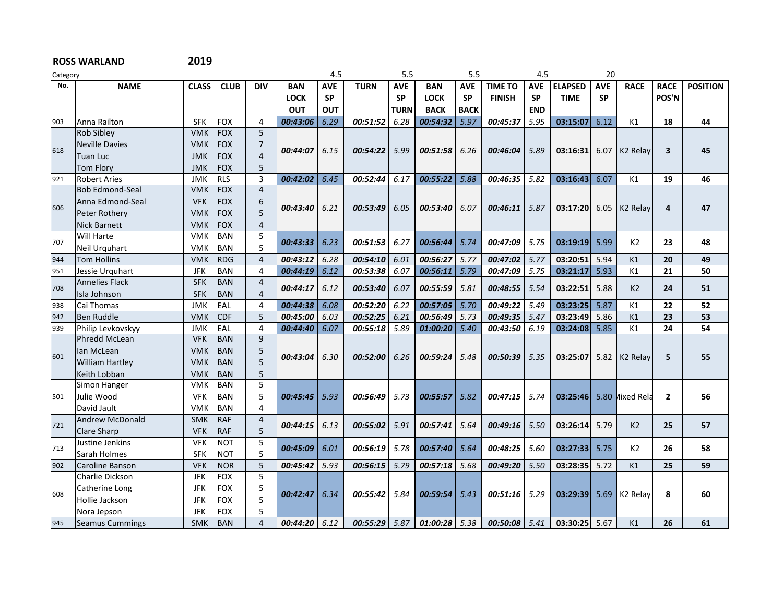| Category |                        |              |             | 4.5            |             | 5.5        |                  | 5.5         |             | 4.5         |                | 20         |                |            |                      |                |                 |
|----------|------------------------|--------------|-------------|----------------|-------------|------------|------------------|-------------|-------------|-------------|----------------|------------|----------------|------------|----------------------|----------------|-----------------|
| No.      | <b>NAME</b>            | <b>CLASS</b> | <b>CLUB</b> | <b>DIV</b>     | <b>BAN</b>  | <b>AVE</b> | <b>TURN</b>      | <b>AVE</b>  | <b>BAN</b>  | <b>AVE</b>  | <b>TIME TO</b> | <b>AVE</b> | <b>ELAPSED</b> | <b>AVE</b> | <b>RACE</b>          | <b>RACE</b>    | <b>POSITION</b> |
|          |                        |              |             |                | <b>LOCK</b> | <b>SP</b>  |                  | <b>SP</b>   | <b>LOCK</b> | <b>SP</b>   | <b>FINISH</b>  | <b>SP</b>  | <b>TIME</b>    | <b>SP</b>  |                      | POS'N          |                 |
|          |                        |              |             |                | <b>OUT</b>  | <b>OUT</b> |                  | <b>TURN</b> | <b>BACK</b> | <b>BACK</b> |                | <b>END</b> |                |            |                      |                |                 |
| 903      | Anna Railton           | <b>SFK</b>   | <b>FOX</b>  | $\overline{4}$ | 00:43:06    | 6.29       | 00:51:52         | 6.28        | 00:54:32    | 5.97        | 00:45:37       | 5.95       | 03:15:07       | 6.12       | K1                   | 18             | 44              |
|          | <b>Rob Sibley</b>      | <b>VMK</b>   | <b>FOX</b>  | 5              |             |            |                  |             |             |             |                |            |                |            |                      |                |                 |
|          | <b>Neville Davies</b>  | <b>VMK</b>   | <b>FOX</b>  | 7              |             |            |                  |             |             |             |                |            |                |            |                      |                |                 |
| 618      | <b>Tuan Luc</b>        | <b>JMK</b>   | <b>FOX</b>  | $\overline{4}$ | 00:44:07    | 6.15       | 00:54:22         | 5.99        | 00:51:58    | 6.26        | 00:46:04       | 5.89       | 03:16:31       | 6.07       | K <sub>2</sub> Relay | 3              | 45              |
|          | <b>Tom Florv</b>       | <b>JMK</b>   | <b>FOX</b>  | 5              |             |            |                  |             |             |             |                |            |                |            |                      |                |                 |
| 921      | <b>Robert Aries</b>    | <b>JMK</b>   | <b>RLS</b>  | $\overline{3}$ | 00:42:02    | 6.45       | 00:52:44         | 6.17        | 00:55:22    | 5.88        | 00:46:35       | 5.82       | 03:16:43       | 6.07       | K1                   | 19             | 46              |
|          | <b>Bob Edmond-Seal</b> | <b>VMK</b>   | <b>FOX</b>  | $\overline{4}$ |             |            |                  |             |             |             |                |            |                |            |                      |                |                 |
|          | Anna Edmond-Seal       | <b>VFK</b>   | <b>FOX</b>  | 6              |             |            |                  |             |             |             | 00:46:11       |            |                |            |                      |                |                 |
| 606      | Peter Rothery          | <b>VMK</b>   | <b>FOX</b>  | 5              | 00:43:40    | 6.21       | 00:53:49         | 6.05        | 00:53:40    | 6.07        |                | 5.87       | 03:17:20       | 6.05       | K <sub>2</sub> Relay | 4              | 47              |
|          | <b>Nick Barnett</b>    | <b>VMK</b>   | <b>FOX</b>  | 4              |             |            |                  |             |             |             |                |            |                |            |                      |                |                 |
|          | Will Harte             | <b>VMK</b>   | <b>BAN</b>  | 5              |             |            |                  |             |             |             |                |            |                |            |                      |                |                 |
| 707      | Neil Urquhart          | <b>VMK</b>   | <b>BAN</b>  | 5              | 00:43:33    | 6.23       | 00:51:53         | 6.27        | 00:56:44    | 5.74        | 00:47:09       | 5.75       | 03:19:19       | 5.99       | K <sub>2</sub>       | 23             | 48              |
| 944      | <b>Tom Hollins</b>     | VMK          | <b>RDG</b>  | $\overline{4}$ | 00:43:12    | 6.28       | 00:54:10         | 6.01        | 00:56:27    | 5.77        | 00:47:02       | 5.77       | 03:20:51       | 5.94       | K1                   | 20             | 49              |
| 951      | Jessie Urguhart        | <b>JFK</b>   | <b>BAN</b>  | 4              | 00:44:19    | 6.12       | 00:53:38         | 6.07        | 00:56:11    | 5.79        | 00:47:09       | 5.75       | 03:21:17       | 5.93       | K1                   | 21             | 50              |
|          | <b>Annelies Flack</b>  | <b>SFK</b>   | <b>BAN</b>  | $\overline{4}$ |             |            |                  |             |             |             |                |            |                |            |                      |                |                 |
| 708      | Isla Johnson           | <b>SFK</b>   | <b>BAN</b>  | $\overline{4}$ | 00:44:17    | 6.12       | 00:53:40         | 6.07        | 00:55:59    | 5.81        | 00:48:55       | 5.54       | 03:22:51       | 5.88       | K <sub>2</sub>       | 24             | 51              |
| 938      | Cai Thomas             | <b>JMK</b>   | EAL         | $\overline{4}$ | 00:44:38    | 6.08       | 00:52:20         | 6.22        | 00:57:05    | 5.70        | 00:49:22       | 5.49       | 03:23:25       | 5.87       | K1                   | 22             | 52              |
| 942      | <b>Ben Ruddle</b>      | <b>VMK</b>   | <b>CDF</b>  | 5              | 00:45:00    | 6.03       | 00:52:25         | 6.21        | 00:56:49    | 5.73        | 00:49:35       | 5.47       | 03:23:49       | 5.86       | K1                   | 23             | 53              |
| 939      | Philip Levkovskyy      | <b>JMK</b>   | EAL         | 4              | 00:44:40    | 6.07       | 00:55:18         | 5.89        | 01:00:20    | 5.40        | 00:43:50       | 6.19       | 03:24:08       | 5.85       | K1                   | 24             | 54              |
|          | <b>Phredd McLean</b>   | <b>VFK</b>   | <b>BAN</b>  | 9              |             |            |                  |             |             |             |                |            |                |            |                      |                |                 |
|          | lan McLean             | <b>VMK</b>   | <b>BAN</b>  | 5              |             |            |                  |             |             |             |                |            |                |            |                      |                |                 |
| 601      | <b>William Hartley</b> | <b>VMK</b>   | <b>BAN</b>  | 5              | 00:43:04    |            | 6.30<br>00:52:00 | 6.26        | 00:59:24    | 5.48        | 00:50:39       | 5.35       | 03:25:07       | 5.82       | K <sub>2</sub> Relav | 5              | 55              |
|          | Keith Lobban           | <b>VMK</b>   | <b>BAN</b>  | 5              |             |            |                  |             |             |             |                |            |                |            |                      |                |                 |
|          | Simon Hanger           | <b>VMK</b>   | <b>BAN</b>  | 5              |             |            |                  |             |             |             |                |            |                |            |                      |                |                 |
| 501      | Julie Wood             | <b>VFK</b>   | <b>BAN</b>  | 5              | 00:45:45    | 5.93       | 00:56:49         | 5.73        | 00:55:57    | 5.82        | 00:47:15       | 5.74       | 03:25:46       |            | 5.80 Mixed Rela      | $\overline{2}$ | 56              |
|          | David Jault            | VMK          | <b>BAN</b>  | 4              |             |            |                  |             |             |             |                |            |                |            |                      |                |                 |
|          | <b>Andrew McDonald</b> | <b>SMK</b>   | <b>RAF</b>  | $\overline{4}$ |             |            |                  |             |             |             |                |            |                |            |                      |                | 57              |
| 721      | <b>Clare Sharp</b>     | <b>VFK</b>   | <b>RAF</b>  | 5              | 00:44:15    | 6.13       | 00:55:02         | 5.91        | 00:57:41    | 5.64        | 00:49:16       | 5.50       | 03:26:14       | 5.79       | K <sub>2</sub>       | 25             |                 |
|          | Justine Jenkins        | <b>VFK</b>   | <b>NOT</b>  | 5              |             |            |                  |             |             |             |                |            |                |            |                      |                |                 |
| 713      | Sarah Holmes           | <b>SFK</b>   | <b>NOT</b>  | 5              | 00:45:09    | 6.01       | 00:56:19         | 5.78        | 00:57:40    | 5.64        | 00:48:25       | 5.60       | 03:27:33       | 5.75       | K <sub>2</sub>       | 26             | 58              |
| 902      | <b>Caroline Banson</b> | <b>VFK</b>   | <b>NOR</b>  | 5              | 00:45:42    | 5.93       | 00:56:15         | 5.79        | 00:57:18    | 5.68        | 00:49:20       | 5.50       | 03:28:35       | 5.72       | K1                   | 25             | 59              |
|          | <b>Charlie Dickson</b> | <b>JFK</b>   | <b>FOX</b>  | 5              |             |            |                  |             |             |             |                |            |                |            |                      |                |                 |
|          | Catherine Long         | <b>JFK</b>   | <b>FOX</b>  | 5              |             |            |                  |             |             |             |                |            |                |            |                      |                |                 |
| 608      | Hollie Jackson         | <b>JFK</b>   | <b>FOX</b>  | 5              | 00:42:47    | 6.34       | 00:55:42         | 5.84        | 00:59:54    | 5.43        | 00:51:16       | 5.29       | 03:29:39       | 5.69       | K <sub>2</sub> Relay | 8              | 60              |
|          | Nora Jepson            | <b>JFK</b>   | <b>FOX</b>  | 5              |             |            |                  |             |             |             |                |            |                |            |                      |                |                 |
| 945      | <b>Seamus Cummings</b> | <b>SMK</b>   | <b>BAN</b>  | $\Delta$       | 00:44:20    | 6.12       | 00:55:29         | 5.87        | 01:00:28    | 5.38        | 00:50:08 5.41  |            | 03:30:25       | 5.67       | K1                   | 26             | 61              |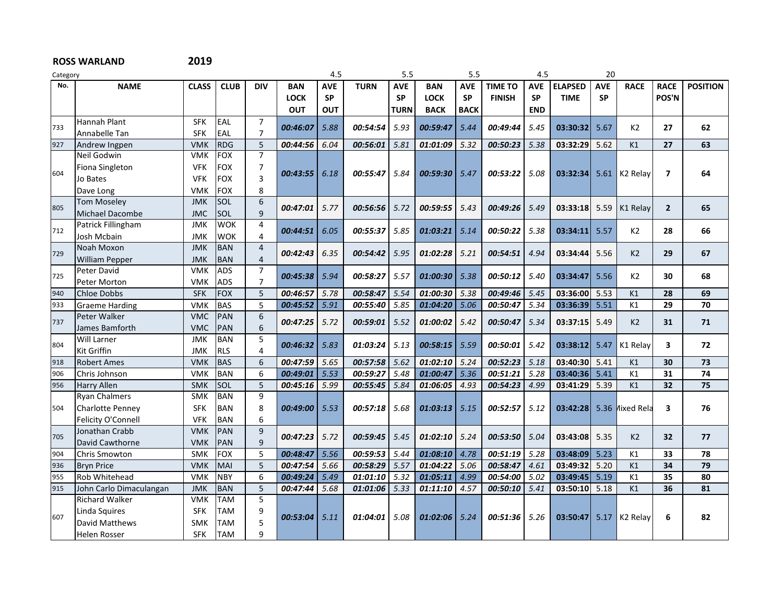| Category |                         |              |             |                |             | 4.5        |             | 5.5         |             | 5.5         |                | 4.5        |                | 20         |                      |                         |                 |
|----------|-------------------------|--------------|-------------|----------------|-------------|------------|-------------|-------------|-------------|-------------|----------------|------------|----------------|------------|----------------------|-------------------------|-----------------|
| No.      | <b>NAME</b>             | <b>CLASS</b> | <b>CLUB</b> | <b>DIV</b>     | <b>BAN</b>  | <b>AVE</b> | <b>TURN</b> | <b>AVE</b>  | <b>BAN</b>  | <b>AVE</b>  | <b>TIME TO</b> | <b>AVE</b> | <b>ELAPSED</b> | <b>AVE</b> | <b>RACE</b>          | <b>RACE</b>             | <b>POSITION</b> |
|          |                         |              |             |                | <b>LOCK</b> | <b>SP</b>  |             | <b>SP</b>   | <b>LOCK</b> | <b>SP</b>   | <b>FINISH</b>  | <b>SP</b>  | <b>TIME</b>    | <b>SP</b>  |                      | POS'N                   |                 |
|          |                         |              |             |                | <b>OUT</b>  | <b>OUT</b> |             | <b>TURN</b> | <b>BACK</b> | <b>BACK</b> |                | <b>END</b> |                |            |                      |                         |                 |
|          | Hannah Plant            | <b>SFK</b>   | EAL         | $\overline{7}$ |             |            |             |             |             |             |                |            |                |            |                      |                         |                 |
| 733      | Annabelle Tan           | <b>SFK</b>   | EAL         | $\overline{7}$ | 00:46:07    | 5.88       | 00:54:54    | 5.93        | 00:59:47    | 5.44        | 00:49:44       | 5.45       | 03:30:32       | 5.67       | K <sub>2</sub>       | 27                      | 62              |
| 927      | Andrew Ingpen           | <b>VMK</b>   | <b>RDG</b>  | 5              | 00:44:56    | 6.04       | 00:56:01    | 5.81        | 01:01:09    | 5.32        | 00:50:23       | 5.38       | 03:32:29       | 5.62       | K1                   | 27                      | 63              |
|          | Neil Godwin             | <b>VMK</b>   | <b>FOX</b>  | $\overline{7}$ |             |            |             |             |             |             |                |            |                |            |                      |                         |                 |
| 604      | Fiona Singleton         | <b>VFK</b>   | <b>FOX</b>  | 7              |             |            |             |             |             |             |                |            |                |            |                      |                         |                 |
|          | Jo Bates                | <b>VFK</b>   | <b>FOX</b>  | 3              | 00:43:55    | 6.18       | 00:55:47    | 5.84        | 00:59:30    | 5.47        | 00:53:22       | 5.08       | 03:32:34       | 5.61       | K <sub>2</sub> Relay | $\overline{7}$          | 64              |
|          | Dave Long               | <b>VMK</b>   | <b>FOX</b>  | 8              |             |            |             |             |             |             |                |            |                |            |                      |                         |                 |
|          | <b>Tom Moseley</b>      | <b>JMK</b>   | SOL         | 6              |             |            |             |             |             |             |                |            |                |            |                      |                         | 65              |
| 805      | Michael Dacombe         | <b>JMC</b>   | <b>SOL</b>  | 9              | 00:47:01    | 5.77       | 00:56:56    | 5.72        | 00:59:55    | 5.43        | 00:49:26       | 5.49       | 03:33:18       | 5.59       | K1 Relav             | $\overline{2}$          |                 |
|          | Patrick Fillingham      | <b>JMK</b>   | <b>WOK</b>  | 4              |             |            |             |             |             |             |                |            |                |            |                      |                         |                 |
| 712      | Josh Mcbain             | <b>JMK</b>   | <b>WOK</b>  | 4              | 00:44:51    | 6.05       | 00:55:37    | 5.85        | 01:03:21    | 5.14        | 00:50:22       | 5.38       | 03:34:11       | 5.57       | K2                   | 28                      | 66              |
| 729      | Noah Moxon              | <b>JMK</b>   | <b>BAN</b>  | $\overline{4}$ |             |            |             |             |             |             |                |            |                |            |                      |                         |                 |
|          | <b>William Pepper</b>   | <b>JMK</b>   | <b>BAN</b>  | 4              | 00:42:43    | 6.35       | 00:54:42    | 5.95        | 01:02:28    | 5.21        | 00:54:51       | 4.94       | 03:34:44       | 5.56       | K <sub>2</sub>       | 29                      | 67              |
| 725      | Peter David             | <b>VMK</b>   | <b>ADS</b>  | $\overline{7}$ |             | 5.94       |             | 5.57        | 01:00:30    |             | 00:50:12       | 5.40       | 03:34:47       |            | K2                   | 30                      | 68              |
|          | Peter Morton            | <b>VMK</b>   | <b>ADS</b>  | $\overline{7}$ | 00:45:38    |            | 00:58:27    |             |             | 5.38        |                |            |                | 5.56       |                      |                         |                 |
| 940      | <b>Chloe Dobbs</b>      | <b>SFK</b>   | <b>FOX</b>  | 5              | 00:46:57    | 5.78       | 00:58:47    | 5.54        | 01:00:30    | 5.38        | 00:49:46       | 5.45       | 03:36:00       | 5.53       | K1                   | 28                      | 69              |
| 933      | Graeme Harding          | <b>VMK</b>   | <b>BAS</b>  | 5              | 00:45:52    | 5.91       | 00:55:40    | 5.85        | 01:04:20    | 5.06        | 00:50:47       | 5.34       | 03:36:39       | 5.51       | K1                   | 29                      | 70              |
| 737      | Peter Walker            | <b>VMC</b>   | PAN         | 6              | 00:47:25    | 5.72       | 00:59:01    | 5.52        | 01:00:02    | 5.42        | 00:50:47       | 5.34       | 03:37:15       | 5.49       | K <sub>2</sub>       | 31                      | 71              |
|          | James Bamforth          | <b>VMC</b>   | <b>PAN</b>  | 6              |             |            |             |             |             |             |                |            |                |            |                      |                         |                 |
| 804      | Will Larner             | <b>JMK</b>   | <b>BAN</b>  | 5              | 00:46:32    | 5.83       | 01:03:24    | 5.13        | 00:58:15    | 5.59        | 00:50:01       | 5.42       | 03:38:12       | 5.47       | K1 Relay             | $\overline{\mathbf{3}}$ | 72              |
|          | Kit Griffin             | <b>JMK</b>   | <b>RLS</b>  | 4              |             |            |             |             |             |             |                |            |                |            |                      |                         |                 |
| 918      | <b>Robert Ames</b>      | <b>VMK</b>   | <b>BAS</b>  | 6              | 00:47:59    | 5.65       | 00:57:58    | 5.62        | 01:02:10    | 5.24        | 00:52:23       | 5.18       | 03:40:30       | 5.41       | K1                   | 30                      | 73              |
| 906      | Chris Johnson           | <b>VMK</b>   | <b>BAN</b>  | 6              | 00:49:01    | 5.53       | 00:59:27    | 5.48        | 01:00:47    | 5.36        | 00:51:21       | 5.28       | 03:40:36       | 5.41       | K1                   | 31                      | 74              |
| 956      | Harry Allen             | <b>SMK</b>   | SOL         | 5              | 00:45:16    | 5.99       | 00:55:45    | 5.84        | 01:06:05    | 4.93        | 00:54:23       | 4.99       | 03:41:29       | 5.39       | K1                   | 32                      | 75              |
|          | Ryan Chalmers           | <b>SMK</b>   | <b>BAN</b>  | 9              |             |            |             |             |             |             |                |            |                |            |                      |                         |                 |
| 504      | <b>Charlotte Penney</b> | <b>SFK</b>   | <b>BAN</b>  | 8              | 00:49:00    | 5.53       | 00:57:18    | 5.68        | 01:03:13    | 5.15        | 00:52:57       | 5.12       | 03:42:28       | 5.36       | <b>Nixed Rela</b>    | 3                       | 76              |
|          | Felicity O'Connell      | <b>VFK</b>   | <b>BAN</b>  | 6              |             |            |             |             |             |             |                |            |                |            |                      |                         |                 |
| 705      | Jonathan Crabb          | <b>VMK</b>   | PAN         | 9              | 00:47:23    | 5.72       | 00:59:45    | 5.45        | 01:02:10    | 5.24        | 00:53:50       | 5.04       | 03:43:08       | 5.35       | K <sub>2</sub>       | 32                      | 77              |
|          | David Cawthorne         | <b>VMK</b>   | PAN         | 9              |             |            |             |             |             |             |                |            |                |            |                      |                         |                 |
| 904      | Chris Smowton           | <b>SMK</b>   | <b>FOX</b>  | 5              | 00:48:47    | 5.56       | 00:59:53    | 5.44        | 01:08:10    | 4.78        | 00:51:19       | 5.28       | 03:48:09       | 5.23       | K1                   | 33                      | 78              |
| 936      | <b>Bryn Price</b>       | <b>VMK</b>   | <b>MAI</b>  | 5              | 00:47:54    | 5.66       | 00:58:29    | 5.57        | 01:04:22    | 5.06        | 00:58:47       | 4.61       | 03:49:32       | 5.20       | K1                   | 34                      | 79              |
| 955      | Rob Whitehead           | <b>VMK</b>   | <b>NBY</b>  | 6              | 00:49:24    | 5.49       | 01:01:10    | 5.32        | 01:05:11    | 4.99        | 00:54:00       | 5.02       | 03:49:45       | 5.19       | K1                   | 35                      | 80              |
| 915      | John Carlo Dimaculangan | <b>JMK</b>   | <b>BAN</b>  | 5              | 00:47:44    | 5.68       | 01:01:06    | 5.33        | 01:11:10    | 4.57        | 00:50:10       | 5.41       | 03:50:10       | 5.18       | K1                   | 36                      | 81              |
|          | <b>Richard Walker</b>   | <b>VMK</b>   | <b>TAM</b>  | 5              |             |            |             |             |             |             |                |            |                |            |                      |                         |                 |
| 607      | Linda Squires           | <b>SFK</b>   | TAM         | 9              |             |            |             |             |             |             |                |            |                |            |                      |                         |                 |
|          | David Matthews          | <b>SMK</b>   | <b>TAM</b>  | 5              | 00:53:04    | 5.11       | 01:04:01    | 5.08        | 01:02:06    | 5.24        | 00:51:36       | 5.26       | 03:50:47       | 5.17       | K <sub>2</sub> Relay | 6                       | 82              |
|          | <b>Helen Rosser</b>     | <b>SFK</b>   | <b>TAM</b>  | 9              |             |            |             |             |             |             |                |            |                |            |                      |                         |                 |